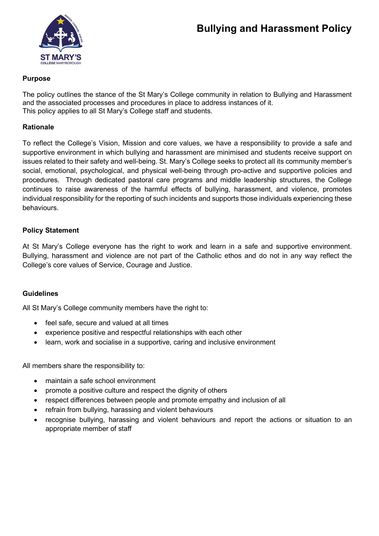

#### **Purpose**

The policy outlines the stance of the St Mary's College community in relation to Bullying and Harassment and the associated processes and procedures in place to address instances of it. This policy applies to all St Mary's College staff and students.

#### **Rationale**

To reflect the College's Vision, Mission and core values, we have a responsibility to provide a safe and supportive environment in which bullying and harassment are minimised and students receive support on issues related to their safety and well-being. St. Mary's College seeks to protect all its community member's social, emotional, psychological, and physical well-being through pro-active and supportive policies and procedures. Through dedicated pastoral care programs and middle leadership structures, the College continues to raise awareness of the harmful effects of bullying, harassment, and violence, promotes individual responsibility for the reporting of such incidents and supports those individuals experiencing these behaviours.

### **Policy Statement**

At St Mary's College everyone has the right to work and learn in a safe and supportive environment. Bullying, harassment and violence are not part of the Catholic ethos and do not in any way reflect the College's core values of Service, Courage and Justice.

#### **Guidelines**

All St Mary's College community members have the right to:

- feel safe, secure and valued at all times
- experience positive and respectful relationships with each other
- learn, work and socialise in a supportive, caring and inclusive environment

All members share the responsibility to:

- maintain a safe school environment
- promote a positive culture and respect the dignity of others
- respect differences between people and promote empathy and inclusion of all
- refrain from bullying, harassing and violent behaviours
- recognise bullying, harassing and violent behaviours and report the actions or situation to an appropriate member of staff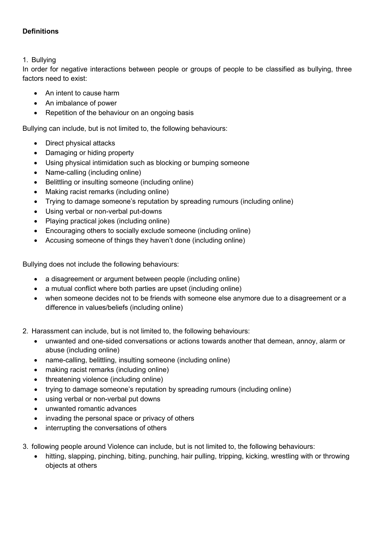## **Definitions**

#### 1. Bullying

In order for negative interactions between people or groups of people to be classified as bullying, three factors need to exist:

- An intent to cause harm
- An imbalance of power
- Repetition of the behaviour on an ongoing basis

Bullying can include, but is not limited to, the following behaviours:

- Direct physical attacks
- Damaging or hiding property
- Using physical intimidation such as blocking or bumping someone
- Name-calling (including online)
- Belittling or insulting someone (including online)
- Making racist remarks (including online)
- Trying to damage someone's reputation by spreading rumours (including online)
- Using verbal or non-verbal put-downs
- Playing practical jokes (including online)
- Encouraging others to socially exclude someone (including online)
- Accusing someone of things they haven't done (including online)

Bullying does not include the following behaviours:

- a disagreement or argument between people (including online)
- a mutual conflict where both parties are upset (including online)
- when someone decides not to be friends with someone else anymore due to a disagreement or a difference in values/beliefs (including online)
- 2. Harassment can include, but is not limited to, the following behaviours:
	- unwanted and one-sided conversations or actions towards another that demean, annoy, alarm or abuse (including online)
	- name-calling, belittling, insulting someone (including online)
	- making racist remarks (including online)
	- threatening violence (including online)
	- trying to damage someone's reputation by spreading rumours (including online)
	- using verbal or non-verbal put downs
	- unwanted romantic advances
	- invading the personal space or privacy of others
	- interrupting the conversations of others

3. following people around Violence can include, but is not limited to, the following behaviours:

• hitting, slapping, pinching, biting, punching, hair pulling, tripping, kicking, wrestling with or throwing objects at others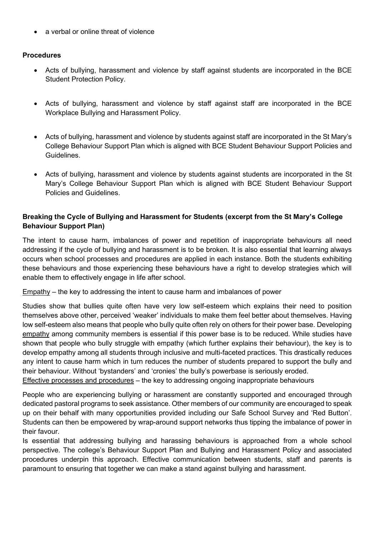a verbal or online threat of violence

#### **Procedures**

- Acts of bullying, harassment and violence by staff against students are incorporated in the BCE Student Protection Policy.
- Acts of bullying, harassment and violence by staff against staff are incorporated in the BCE Workplace Bullying and Harassment Policy.
- Acts of bullying, harassment and violence by students against staff are incorporated in the St Mary's College Behaviour Support Plan which is aligned with BCE Student Behaviour Support Policies and Guidelines.
- Acts of bullying, harassment and violence by students against students are incorporated in the St Mary's College Behaviour Support Plan which is aligned with BCE Student Behaviour Support Policies and Guidelines.

### **Breaking the Cycle of Bullying and Harassment for Students (excerpt from the St Mary's College Behaviour Support Plan)**

The intent to cause harm, imbalances of power and repetition of inappropriate behaviours all need addressing if the cycle of bullying and harassment is to be broken. It is also essential that learning always occurs when school processes and procedures are applied in each instance. Both the students exhibiting these behaviours and those experiencing these behaviours have a right to develop strategies which will enable them to effectively engage in life after school.

 $Empathy - the key to addressing the intent to cause harm and imbalances of power$ 

Studies show that bullies quite often have very low self-esteem which explains their need to position themselves above other, perceived 'weaker' individuals to make them feel better about themselves. Having low self-esteem also means that people who bully quite often rely on others for their power base. Developing empathy among community members is essential if this power base is to be reduced. While studies have shown that people who bully struggle with empathy (which further explains their behaviour), the key is to develop empathy among all students through inclusive and multi-faceted practices. This drastically reduces any intent to cause harm which in turn reduces the number of students prepared to support the bully and their behaviour. Without 'bystanders' and 'cronies' the bully's powerbase is seriously eroded.

Effective processes and procedures – the key to addressing ongoing inappropriate behaviours

People who are experiencing bullying or harassment are constantly supported and encouraged through dedicated pastoral programs to seek assistance. Other members of our community are encouraged to speak up on their behalf with many opportunities provided including our Safe School Survey and 'Red Button'. Students can then be empowered by wrap-around support networks thus tipping the imbalance of power in their favour.

Is essential that addressing bullying and harassing behaviours is approached from a whole school perspective. The college's Behaviour Support Plan and Bullying and Harassment Policy and associated procedures underpin this approach. Effective communication between students, staff and parents is paramount to ensuring that together we can make a stand against bullying and harassment.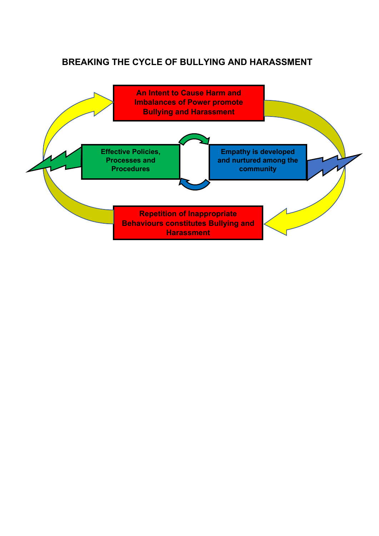# **BREAKING THE CYCLE OF BULLYING AND HARASSMENT**

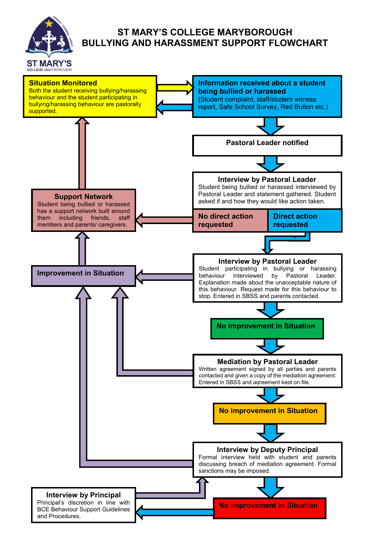

## **ST MARY'S COLLEGE MARYBOROUGH BULLYING AND HARASSMENT SUPPORT FLOWCHART**